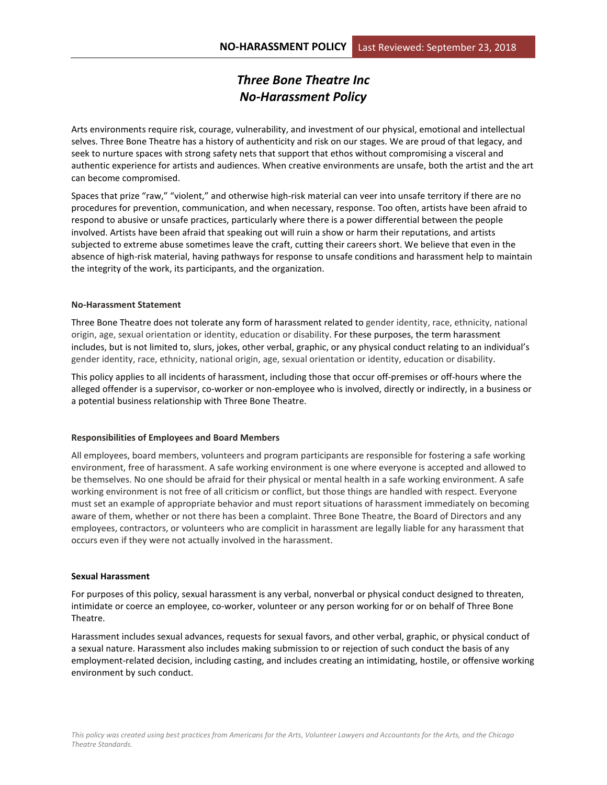# *Three Bone Theatre Inc No-Harassment Policy*

Arts environments require risk, courage, vulnerability, and investment of our physical, emotional and intellectual selves. Three Bone Theatre has a history of authenticity and risk on our stages. We are proud of that legacy, and seek to nurture spaces with strong safety nets that support that ethos without compromising a visceral and authentic experience for artists and audiences. When creative environments are unsafe, both the artist and the art can become compromised.

Spaces that prize "raw," "violent," and otherwise high-risk material can veer into unsafe territory if there are no procedures for prevention, communication, and when necessary, response. Too often, artists have been afraid to respond to abusive or unsafe practices, particularly where there is a power differential between the people involved. Artists have been afraid that speaking out will ruin a show or harm their reputations, and artists subjected to extreme abuse sometimes leave the craft, cutting their careers short. We believe that even in the absence of high-risk material, having pathways for response to unsafe conditions and harassment help to maintain the integrity of the work, its participants, and the organization.

## **No-Harassment Statement**

Three Bone Theatre does not tolerate any form of harassment related to gender identity, race, ethnicity, national origin, age, sexual orientation or identity, education or disability. For these purposes, the term harassment includes, but is not limited to, slurs, jokes, other verbal, graphic, or any physical conduct relating to an individual's gender identity, race, ethnicity, national origin, age, sexual orientation or identity, education or disability.

This policy applies to all incidents of harassment, including those that occur off-premises or off-hours where the alleged offender is a supervisor, co-worker or non-employee who is involved, directly or indirectly, in a business or a potential business relationship with Three Bone Theatre.

## **Responsibilities of Employees and Board Members**

All employees, board members, volunteers and program participants are responsible for fostering a safe working environment, free of harassment. A safe working environment is one where everyone is accepted and allowed to be themselves. No one should be afraid for their physical or mental health in a safe working environment. A safe working environment is not free of all criticism or conflict, but those things are handled with respect. Everyone must set an example of appropriate behavior and must report situations of harassment immediately on becoming aware of them, whether or not there has been a complaint. Three Bone Theatre, the Board of Directors and any employees, contractors, or volunteers who are complicit in harassment are legally liable for any harassment that occurs even if they were not actually involved in the harassment.

## **Sexual Harassment**

For purposes of this policy, sexual harassment is any verbal, nonverbal or physical conduct designed to threaten, intimidate or coerce an employee, co-worker, volunteer or any person working for or on behalf of Three Bone Theatre.

Harassment includes sexual advances, requests for sexual favors, and other verbal, graphic, or physical conduct of a sexual nature. Harassment also includes making submission to or rejection of such conduct the basis of any employment-related decision, including casting, and includes creating an intimidating, hostile, or offensive working environment by such conduct.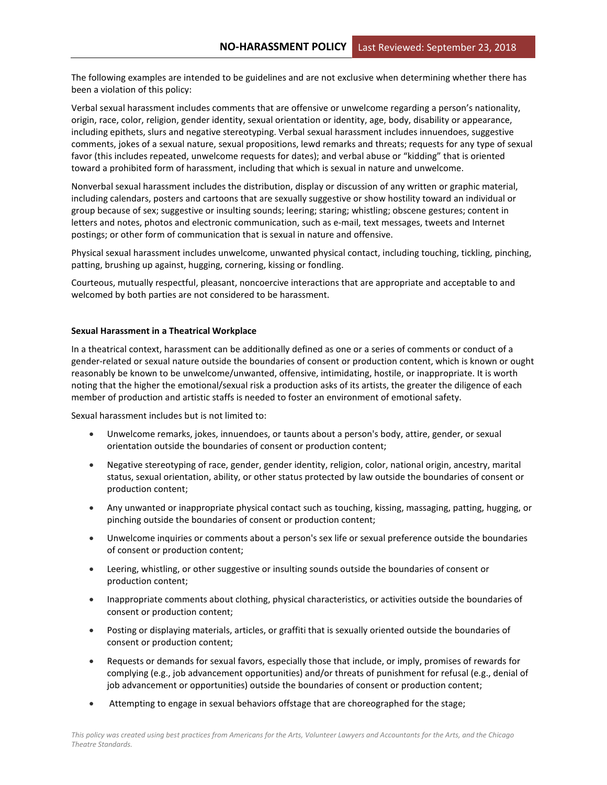The following examples are intended to be guidelines and are not exclusive when determining whether there has been a violation of this policy:

Verbal sexual harassment includes comments that are offensive or unwelcome regarding a person's nationality, origin, race, color, religion, gender identity, sexual orientation or identity, age, body, disability or appearance, including epithets, slurs and negative stereotyping. Verbal sexual harassment includes innuendoes, suggestive comments, jokes of a sexual nature, sexual propositions, lewd remarks and threats; requests for any type of sexual favor (this includes repeated, unwelcome requests for dates); and verbal abuse or "kidding" that is oriented toward a prohibited form of harassment, including that which is sexual in nature and unwelcome.

Nonverbal sexual harassment includes the distribution, display or discussion of any written or graphic material, including calendars, posters and cartoons that are sexually suggestive or show hostility toward an individual or group because of sex; suggestive or insulting sounds; leering; staring; whistling; obscene gestures; content in letters and notes, photos and electronic communication, such as e-mail, text messages, tweets and Internet postings; or other form of communication that is sexual in nature and offensive.

Physical sexual harassment includes unwelcome, unwanted physical contact, including touching, tickling, pinching, patting, brushing up against, hugging, cornering, kissing or fondling.

Courteous, mutually respectful, pleasant, noncoercive interactions that are appropriate and acceptable to and welcomed by both parties are not considered to be harassment.

## **Sexual Harassment in a Theatrical Workplace**

In a theatrical context, harassment can be additionally defined as one or a series of comments or conduct of a gender-related or sexual nature outside the boundaries of consent or production content, which is known or ought reasonably be known to be unwelcome/unwanted, offensive, intimidating, hostile, or inappropriate. It is worth noting that the higher the emotional/sexual risk a production asks of its artists, the greater the diligence of each member of production and artistic staffs is needed to foster an environment of emotional safety.

Sexual harassment includes but is not limited to:

- Unwelcome remarks, jokes, innuendoes, or taunts about a person's body, attire, gender, or sexual orientation outside the boundaries of consent or production content;
- Negative stereotyping of race, gender, gender identity, religion, color, national origin, ancestry, marital status, sexual orientation, ability, or other status protected by law outside the boundaries of consent or production content;
- Any unwanted or inappropriate physical contact such as touching, kissing, massaging, patting, hugging, or pinching outside the boundaries of consent or production content;
- Unwelcome inquiries or comments about a person's sex life or sexual preference outside the boundaries of consent or production content;
- Leering, whistling, or other suggestive or insulting sounds outside the boundaries of consent or production content;
- Inappropriate comments about clothing, physical characteristics, or activities outside the boundaries of consent or production content;
- Posting or displaying materials, articles, or graffiti that is sexually oriented outside the boundaries of consent or production content;
- Requests or demands for sexual favors, especially those that include, or imply, promises of rewards for complying (e.g., job advancement opportunities) and/or threats of punishment for refusal (e.g., denial of job advancement or opportunities) outside the boundaries of consent or production content;
- Attempting to engage in sexual behaviors offstage that are choreographed for the stage;